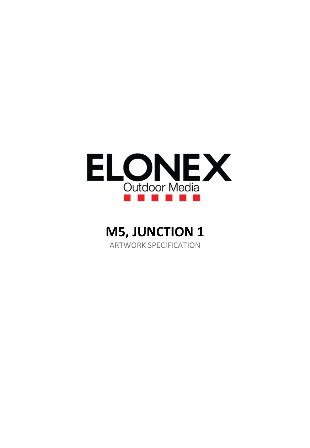

# **M5, JUNCTION 1**

ARTWORK SPECIFICATION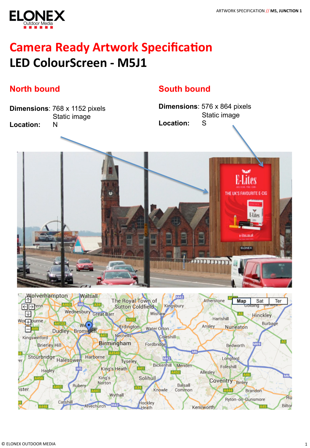

# **Camera Ready Artwork Specification LED ColourScreen - M5J1**

#### **North bound**

**Dimensions**: 768 x 1152 pixels Static image<br>N Location:

#### **South bound**

**Dimensions**: 576 x 864 pixels Static image<br>S Location:



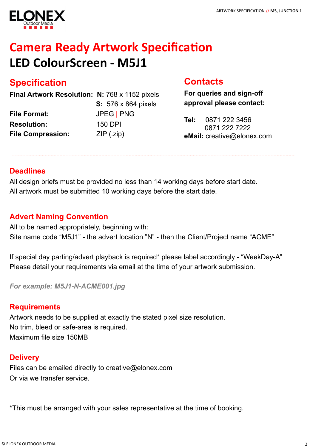

# **Camera Ready Artwork Specification LED ColourScreen - M5J1**

### **Specification**

| Final Artwork Resolution: N: 768 x 1152 pixels |                            |
|------------------------------------------------|----------------------------|
|                                                | <b>S:</b> 576 x 864 pixels |
| <b>File Format:</b>                            | JPEG   PNG                 |
| <b>Resolution:</b>                             | <b>150 DPI</b>             |
| <b>File Compression:</b>                       | $ZIP$ (.zip)               |

#### **Contacts**

**For queries and sign-off approval please contact:** 

**Tel:** 0871 222 3456 0871 222 7222 **eMail:** creative@elonex.com

#### **Deadlines**

All design briefs must be provided no less than 14 working days before start date. All artwork must be submitted 10 working days before the start date.

#### **Advert Naming Convention**

All to be named appropriately, beginning with: Site name code "M5J1" - the advert location "N" - then the Client/Project name "ACME"

If special day parting/advert playback is required\* please label accordingly - "WeekDay-A" Please detail your requirements via email at the time of your artwork submission.

*For example: M5J1-N-ACME001.jpg* 

#### **Requirements**

Artwork needs to be supplied at exactly the stated pixel size resolution. No trim, bleed or safe-area is required. Maximum file size 150MB

#### **Delivery**

Files can be emailed directly to creative@elonex.com Or via we transfer service.

\*This must be arranged with your sales representative at the time of booking.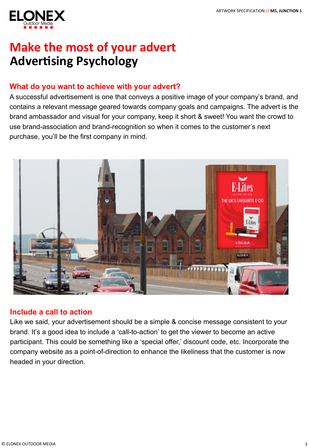

### **Make the most of your advert Advertising Psychology**

#### **What do you want to achieve with your advert?**

A successful advertisement is one that conveys a positive image of your company's brand, and contains a relevant message geared towards company goals and campaigns. The advert is the brand ambassador and visual for your company, keep it short & sweet! You want the crowd to use brand-association and brand-recognition so when it comes to the customer's next purchase, you'll be the first company in mind.



#### **Include a call to action**

Like we said, your advertisement should be a simple & concise message consistent to your brand. It's a good idea to include a 'call-to-action' to get the viewer to become an active participant. This could be something like a 'special offer,' discount code, etc. Incorporate the company website as a point-of-direction to enhance the likeliness that the customer is now headed in your direction.